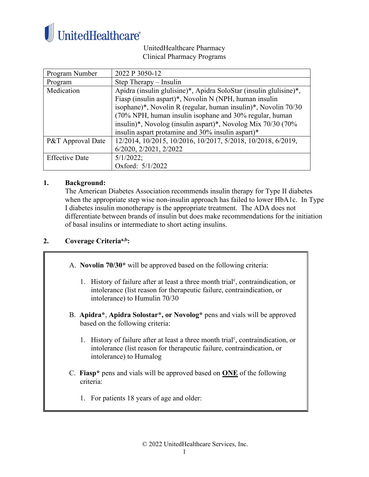

UnitedHealthcare Pharmacy Clinical Pharmacy Programs

| Program Number               | 2022 P 3050-12                                                     |
|------------------------------|--------------------------------------------------------------------|
| Program                      | Step Therapy – Insulin                                             |
| Medication                   | Apidra (insulin glulisine)*, Apidra SoloStar (insulin glulisine)*, |
|                              | Fiasp (insulin aspart)*, Novolin N (NPH, human insulin             |
|                              | isophane)*, Novolin R (regular, human insulin)*, Novolin 70/30     |
|                              | (70% NPH, human insulin isophane and 30% regular, human            |
|                              | insulin)*, Novolog (insulin aspart)*, Novolog Mix 70/30 (70%       |
|                              | insulin aspart protamine and 30% insulin aspart)*                  |
| <b>P&amp;T</b> Approval Date | 12/2014, 10/2015, 10/2016, 10/2017, 5/2018, 10/2018, 6/2019,       |
|                              | 6/2020, 2/2021, 2/2022                                             |
| <b>Effective Date</b>        | $5/1/2022$ ;                                                       |
|                              | Oxford: 5/1/2022                                                   |

## **1. Background:**

The American Diabetes Association recommends insulin therapy for Type II diabetes when the appropriate step wise non-insulin approach has failed to lower HbA1c. In Type I diabetes insulin monotherapy is the appropriate treatment. The ADA does not differentiate between brands of insulin but does make recommendations for the initiation of basal insulins or intermediate to short acting insulins.

## **2. Coverage Criteriaa,b:**

A. **Novolin 70/30\*** will be approved based on the following criteria:

- 1. History of failure after at least a three month trial<sup>c</sup>, contraindication, or intolerance (list reason for therapeutic failure, contraindication, or intolerance) to Humulin 70/30
- B. **Apidra\***, **Apidra Solostar\*, or Novolog\*** pens and vials will be approved based on the following criteria:
	- 1. History of failure after at least a three month trial<sup>c</sup>, contraindication, or intolerance (list reason for therapeutic failure, contraindication, or intolerance) to Humalog
- C. **Fiasp\*** pens and vials will be approved based on **ONE** of the following criteria:
	- 1. For patients 18 years of age and older: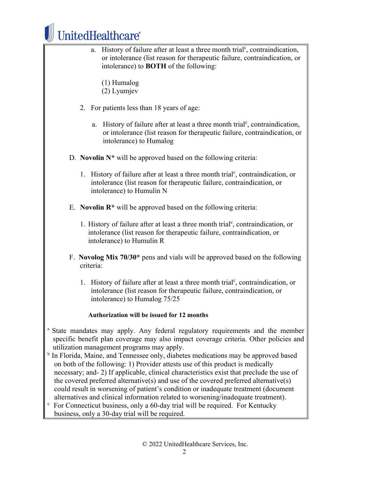

a. History of failure after at least a three month trial<sup>c</sup>, contraindication, or intolerance (list reason for therapeutic failure, contraindication, or intolerance) to **BOTH** of the following: (1) Humalog (2) Lyumjev 2. For patients less than 18 years of age: a. History of failure after at least a three month trial<sup>c</sup>, contraindication, or intolerance (list reason for therapeutic failure, contraindication, or intolerance) to Humalog D. **Novolin N\*** will be approved based on the following criteria: 1. History of failure after at least a three month trial<sup>c</sup>, contraindication, or intolerance (list reason for therapeutic failure, contraindication, or intolerance) to Humulin N E. **Novolin R\*** will be approved based on the following criteria: 1. History of failure after at least a three month trial<sup>c</sup>, contraindication, or intolerance (list reason for therapeutic failure, contraindication, or intolerance) to Humulin R F. **Novolog Mix 70/30\*** pens and vials will be approved based on the following criteria: 1. History of failure after at least a three month trial<sup>c</sup>, contraindication, or intolerance (list reason for therapeutic failure, contraindication, or intolerance) to Humalog 75/25 **Authorization will be issued for 12 months** <sup>a</sup> State mandates may apply. Any federal regulatory requirements and the member specific benefit plan coverage may also impact coverage criteria. Other policies and utilization management programs may apply. b In Florida, Maine, and Tennessee only, diabetes medications may be approved based on both of the following: 1) Provider attests use of this product is medically necessary; and- 2) If applicable, clinical characteristics exist that preclude the use of the covered preferred alternative(s) and use of the covered preferred alternative(s) could result in worsening of patient's condition or inadequate treatment (document alternatives and clinical information related to worsening/inadequate treatment).  $c$  For Connecticut business, only a 60-day trial will be required. For Kentucky business, only a 30-day trial will be required.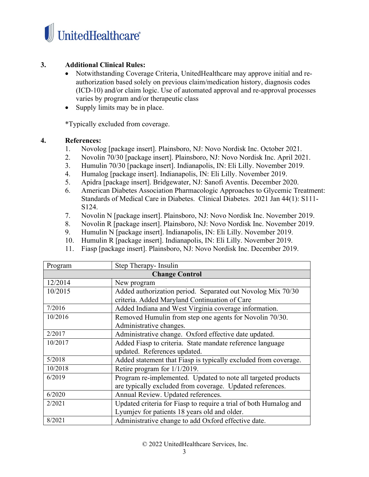

## **3. Additional Clinical Rules:**

- Notwithstanding Coverage Criteria, UnitedHealthcare may approve initial and reauthorization based solely on previous claim/medication history, diagnosis codes (ICD-10) and/or claim logic. Use of automated approval and re-approval processes varies by program and/or therapeutic class
- Supply limits may be in place.

\*Typically excluded from coverage.

## **4. References:**

- 1. Novolog [package insert]. Plainsboro, NJ: Novo Nordisk Inc. October 2021.
- 2. Novolin 70/30 [package insert]. Plainsboro, NJ: Novo Nordisk Inc. April 2021.
- 3. Humulin 70/30 [package insert]. Indianapolis, IN: Eli Lilly. November 2019.
- 4. Humalog [package insert]. Indianapolis, IN: Eli Lilly. November 2019.
- 5. Apidra [package insert]. Bridgewater, NJ: Sanofi Aventis. December 2020.
- 6. American Diabetes Association Pharmacologic Approaches to Glycemic Treatment: Standards of Medical Care in Diabetes. Clinical Diabetes. 2021 Jan 44(1): S111- S124.
- 7. Novolin N [package insert]. Plainsboro, NJ: Novo Nordisk Inc. November 2019.
- 8. Novolin R [package insert]. Plainsboro, NJ: Novo Nordisk Inc. November 2019.
- 9. Humulin N [package insert]. Indianapolis, IN: Eli Lilly. November 2019.
- 10. Humulin R [package insert]. Indianapolis, IN: Eli Lilly. November 2019.
- 11. Fiasp [package insert]. Plainsboro, NJ: Novo Nordisk Inc. December 2019.

| Program               | Step Therapy- Insulin                                             |
|-----------------------|-------------------------------------------------------------------|
| <b>Change Control</b> |                                                                   |
| 12/2014               | New program                                                       |
| 10/2015               | Added authorization period. Separated out Novolog Mix 70/30       |
|                       | criteria. Added Maryland Continuation of Care                     |
| 7/2016                | Added Indiana and West Virginia coverage information.             |
| 10/2016               | Removed Humulin from step one agents for Novolin 70/30.           |
|                       | Administrative changes.                                           |
| 2/2017                | Administrative change. Oxford effective date updated.             |
| 10/2017               | Added Fiasp to criteria. State mandate reference language         |
|                       | updated. References updated.                                      |
| 5/2018                | Added statement that Fiasp is typically excluded from coverage.   |
| 10/2018               | Retire program for $1/1/2019$ .                                   |
| 6/2019                | Program re-implemented. Updated to note all targeted products     |
|                       | are typically excluded from coverage. Updated references.         |
| 6/2020                | Annual Review. Updated references.                                |
| 2/2021                | Updated criteria for Fiasp to require a trial of both Humalog and |
|                       | Lyumjev for patients 18 years old and older.                      |
| 8/2021                | Administrative change to add Oxford effective date.               |

© 2022 UnitedHealthcare Services, Inc.